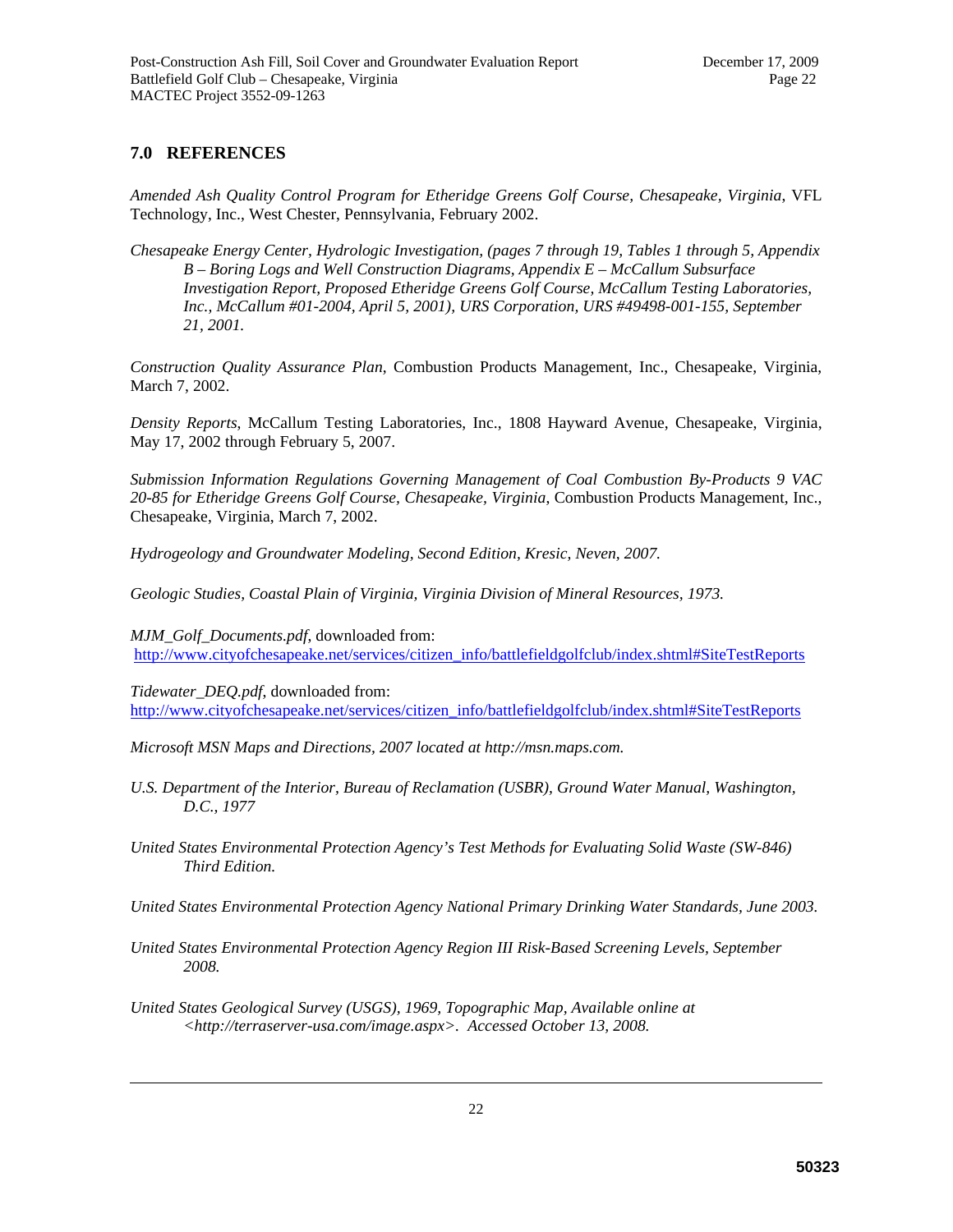## **7.0 REFERENCES**

*Amended Ash Quality Control Program for Etheridge Greens Golf Course, Chesapeake, Virginia*, VFL Technology, Inc., West Chester, Pennsylvania, February 2002.

*Chesapeake Energy Center, Hydrologic Investigation, (pages 7 through 19, Tables 1 through 5, Appendix B – Boring Logs and Well Construction Diagrams, Appendix E – McCallum Subsurface Investigation Report, Proposed Etheridge Greens Golf Course, McCallum Testing Laboratories, Inc., McCallum #01-2004, April 5, 2001), URS Corporation, URS #49498-001-155, September 21, 2001.* 

*Construction Quality Assurance Plan*, Combustion Products Management, Inc., Chesapeake, Virginia, March 7, 2002.

*Density Reports*, McCallum Testing Laboratories, Inc., 1808 Hayward Avenue, Chesapeake, Virginia, May 17, 2002 through February 5, 2007.

*Submission Information Regulations Governing Management of Coal Combustion By-Products 9 VAC 20-85 for Etheridge Greens Golf Course, Chesapeake, Virginia*, Combustion Products Management, Inc., Chesapeake, Virginia, March 7, 2002.

*Hydrogeology and Groundwater Modeling, Second Edition, Kresic, Neven, 2007.* 

*Geologic Studies, Coastal Plain of Virginia, Virginia Division of Mineral Resources, 1973.* 

*MJM\_Golf\_Documents.pdf*, downloaded from: http://www.cityofchesapeake.net/services/citizen\_info/battlefieldgolfclub/index.shtml#SiteTestReports

*Tidewater\_DEQ.pdf*, downloaded from: http://www.cityofchesapeake.net/services/citizen\_info/battlefieldgolfclub/index.shtml#SiteTestReports

*Microsoft MSN Maps and Directions, 2007 located at http://msn.maps.com.* 

- U.S. Department of the Interior, Bureau of Reclamation (USBR), Ground Water Manual, Washington, *D.C., 1977*
- *United States Environmental Protection Agency's Test Methods for Evaluating Solid Waste (SW-846) Third Edition.*

*United States Environmental Protection Agency National Primary Drinking Water Standards, June 2003.* 

- *United States Environmental Protection Agency Region III Risk-Based Screening Levels, September 2008.*
- *United States Geological Survey (USGS), 1969, Topographic Map, Available online at <http://terraserver-usa.com/image.aspx>. Accessed October 13, 2008.*